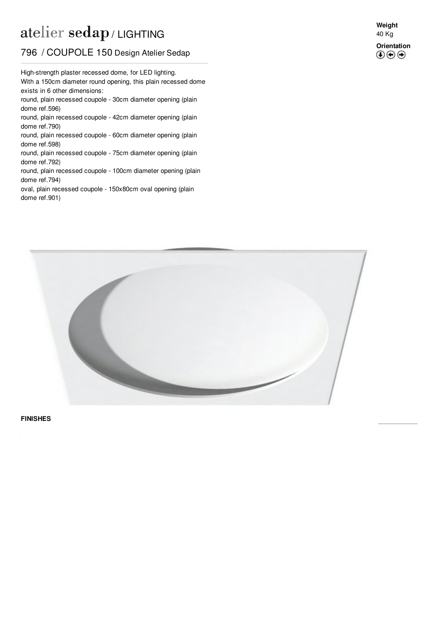## atelier sedap / LIGHTING

## 796 / COUPOLE 150 Design Atelier Sedap

With a 150cm diameter round opening, this plain recessed dome High-strength plaster recessed dome, for LED lighting. exists in 6 other dimensions: round, plain recessed coupole - 30cm diameter opening (plain dome ref[.596](http://www.sedap.com/lighting/en/produits/view/596)) round, plain recessed coupole - 42cm diameter opening (plain dome ref[.790](http://www.sedap.com/lighting/en/produits/view/790)) round, plain recessed coupole - 60cm diameter opening (plain dome ref[.598](http://www.sedap.com/lighting/en/produits/view/598)) round, plain recessed coupole - 75cm diameter opening (plain dome ref[.792](http://www.sedap.com/lighting/en/produits/view/792)) round, plain recessed coupole - 100cm diameter opening (plain dome ref[.794](http://www.sedap.com/lighting/en/produits/view/794)) oval, plain recessed coupole - 150x80cm oval opening (plain dome ref[.901](http://www.sedap.com/lighting/en/produits/view/901))

**Weight** 40 Kg **Orientation**

 $\circledcirc$ 



**FINISHES**